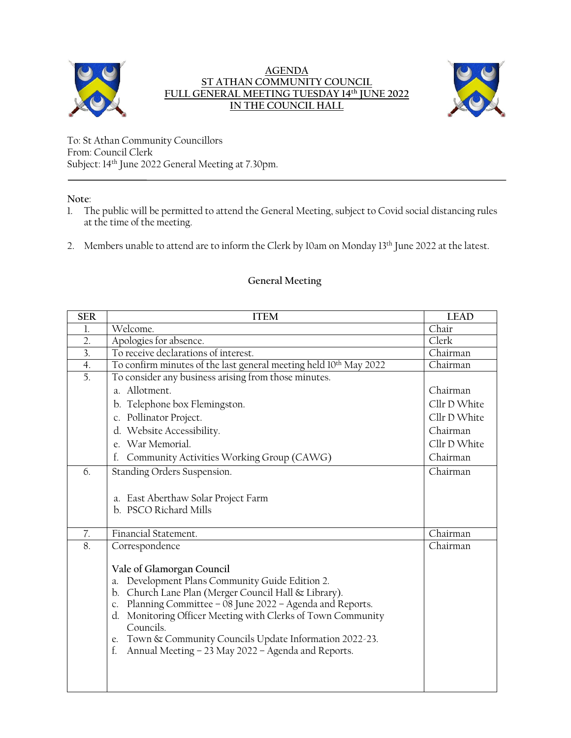

## **AGENDA ST ATHAN COMMUNITY COUNCIL FULL GENERAL MEETING TUESDAY 14 th JUNE 2022 IN THE COUNCIL HALL**



To: St Athan Community Councillors From: Council Clerk Subject: 14 th June 2022 General Meeting at 7.30pm.

**Note**:

- 1. The public will be permitted to attend the General Meeting, subject to Covid social distancing rules at the time of the meeting.
- 2. Members unable to attend are to inform the Clerk by 10am on Monday 13<sup>th</sup> June 2022 at the latest.

## **General Meeting**

| <b>SER</b>       | <b>ITEM</b>                                                                                                                                                                                                                                                                                                                                                                                                           | <b>LEAD</b>  |
|------------------|-----------------------------------------------------------------------------------------------------------------------------------------------------------------------------------------------------------------------------------------------------------------------------------------------------------------------------------------------------------------------------------------------------------------------|--------------|
| 1.               | Welcome.                                                                                                                                                                                                                                                                                                                                                                                                              | Chair        |
| $\overline{2}$ . | Apologies for absence.                                                                                                                                                                                                                                                                                                                                                                                                | Clerk        |
| $\overline{3}$ . | To receive declarations of interest.                                                                                                                                                                                                                                                                                                                                                                                  | Chairman     |
| 4.               | To confirm minutes of the last general meeting held 10 <sup>th</sup> May 2022                                                                                                                                                                                                                                                                                                                                         | Chairman     |
| 5.               | To consider any business arising from those minutes.                                                                                                                                                                                                                                                                                                                                                                  |              |
|                  | a. Allotment.                                                                                                                                                                                                                                                                                                                                                                                                         | Chairman     |
|                  | b. Telephone box Flemingston.                                                                                                                                                                                                                                                                                                                                                                                         | Cllr D White |
|                  | c. Pollinator Project.                                                                                                                                                                                                                                                                                                                                                                                                | Cllr D White |
|                  | d. Website Accessibility.                                                                                                                                                                                                                                                                                                                                                                                             | Chairman     |
|                  | e. War Memorial.                                                                                                                                                                                                                                                                                                                                                                                                      | Cllr D White |
|                  | Community Activities Working Group (CAWG)<br>f.                                                                                                                                                                                                                                                                                                                                                                       | Chairman     |
| 6.               | Standing Orders Suspension.                                                                                                                                                                                                                                                                                                                                                                                           | Chairman     |
|                  | a. East Aberthaw Solar Project Farm<br>b. PSCO Richard Mills                                                                                                                                                                                                                                                                                                                                                          |              |
| 7.               | Financial Statement.                                                                                                                                                                                                                                                                                                                                                                                                  | Chairman     |
| 8.               | Correspondence                                                                                                                                                                                                                                                                                                                                                                                                        | Chairman     |
|                  | Vale of Glamorgan Council<br>Development Plans Community Guide Edition 2.<br>a.<br>Church Lane Plan (Merger Council Hall & Library).<br>b.<br>Planning Committee - 08 June 2022 - Agenda and Reports.<br>C.<br>Monitoring Officer Meeting with Clerks of Town Community<br>d.<br>Councils.<br>Town & Community Councils Update Information 2022-23.<br>e.<br>Annual Meeting - 23 May 2022 - Agenda and Reports.<br>f. |              |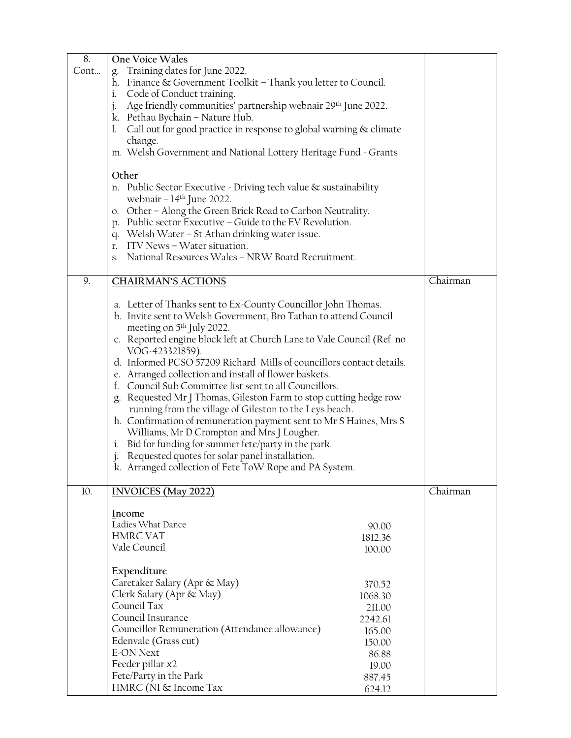| 8.                                                                   | One Voice Wales                                                                                                               |                  |          |  |
|----------------------------------------------------------------------|-------------------------------------------------------------------------------------------------------------------------------|------------------|----------|--|
| Cont                                                                 | Training dates for June 2022.                                                                                                 |                  |          |  |
|                                                                      | h. Finance & Government Toolkit - Thank you letter to Council.                                                                |                  |          |  |
|                                                                      | Code of Conduct training.<br>i.                                                                                               |                  |          |  |
|                                                                      | Age friendly communities' partnership webnair 29th June 2022.<br>j.                                                           |                  |          |  |
|                                                                      | k. Pethau Bychain - Nature Hub.                                                                                               |                  |          |  |
|                                                                      | 1. Call out for good practice in response to global warning & climate                                                         |                  |          |  |
|                                                                      | change.                                                                                                                       |                  |          |  |
|                                                                      | m. Welsh Government and National Lottery Heritage Fund - Grants                                                               |                  |          |  |
|                                                                      | Other                                                                                                                         |                  |          |  |
|                                                                      | n. Public Sector Executive - Driving tech value & sustainability                                                              |                  |          |  |
|                                                                      | webnair – $14th$ June 2022.                                                                                                   |                  |          |  |
|                                                                      | o. Other - Along the Green Brick Road to Carbon Neutrality.                                                                   |                  |          |  |
|                                                                      | p. Public sector Executive - Guide to the EV Revolution.                                                                      |                  |          |  |
|                                                                      | q. Welsh Water - St Athan drinking water issue.                                                                               |                  |          |  |
|                                                                      | r. ITV News - Water situation.                                                                                                |                  |          |  |
|                                                                      | s. National Resources Wales - NRW Board Recruitment.                                                                          |                  |          |  |
|                                                                      |                                                                                                                               |                  |          |  |
| 9.                                                                   | <b>CHAIRMAN'S ACTIONS</b>                                                                                                     |                  | Chairman |  |
|                                                                      |                                                                                                                               |                  |          |  |
|                                                                      | a. Letter of Thanks sent to Ex-County Councillor John Thomas.                                                                 |                  |          |  |
|                                                                      | b. Invite sent to Welsh Government, Bro Tathan to attend Council                                                              |                  |          |  |
|                                                                      | meeting on 5 <sup>th</sup> July 2022.                                                                                         |                  |          |  |
| c. Reported engine block left at Church Lane to Vale Council (Ref no |                                                                                                                               |                  |          |  |
|                                                                      | VOG-423321859).                                                                                                               |                  |          |  |
|                                                                      | d. Informed PCSO 57209 Richard Mills of councillors contact details.<br>e. Arranged collection and install of flower baskets. |                  |          |  |
|                                                                      | f. Council Sub Committee list sent to all Councillors.                                                                        |                  |          |  |
| g. Requested Mr J Thomas, Gileston Farm to stop cutting hedge row    |                                                                                                                               |                  |          |  |
|                                                                      | running from the village of Gileston to the Leys beach.                                                                       |                  |          |  |
| h. Confirmation of remuneration payment sent to Mr S Haines, Mrs S   |                                                                                                                               |                  |          |  |
|                                                                      | Williams, Mr D Crompton and Mrs J Lougher.<br>i. Bid for funding for summer fete/party in the park.                           |                  |          |  |
|                                                                      |                                                                                                                               |                  |          |  |
|                                                                      | Requested quotes for solar panel installation.                                                                                |                  |          |  |
|                                                                      | k. Arranged collection of Fete ToW Rope and PA System.                                                                        |                  |          |  |
|                                                                      |                                                                                                                               |                  |          |  |
| 10.                                                                  | <b>INVOICES</b> (May 2022)                                                                                                    |                  | Chairman |  |
|                                                                      |                                                                                                                               |                  |          |  |
|                                                                      | Income<br>Ladies What Dance                                                                                                   |                  |          |  |
|                                                                      | <b>HMRC VAT</b>                                                                                                               | 90.00<br>1812.36 |          |  |
|                                                                      | Vale Council                                                                                                                  | 100.00           |          |  |
|                                                                      |                                                                                                                               |                  |          |  |
|                                                                      | Expenditure                                                                                                                   |                  |          |  |
|                                                                      | Caretaker Salary (Apr & May)                                                                                                  | 370.52           |          |  |
|                                                                      | Clerk Salary (Apr & May)                                                                                                      | 1068.30          |          |  |
|                                                                      | Council Tax                                                                                                                   | 211.00           |          |  |
|                                                                      | Council Insurance                                                                                                             | 2242.61          |          |  |
|                                                                      | Councillor Remuneration (Attendance allowance)                                                                                | 165.00           |          |  |
|                                                                      | Edenvale (Grass cut)                                                                                                          | 150.00           |          |  |
|                                                                      | <b>E-ON Next</b>                                                                                                              | 86.88            |          |  |
|                                                                      | Feeder pillar x2                                                                                                              | 19.00            |          |  |
|                                                                      | Fete/Party in the Park                                                                                                        | 887.45           |          |  |
|                                                                      | HMRC (NI & Income Tax                                                                                                         | 624.12           |          |  |